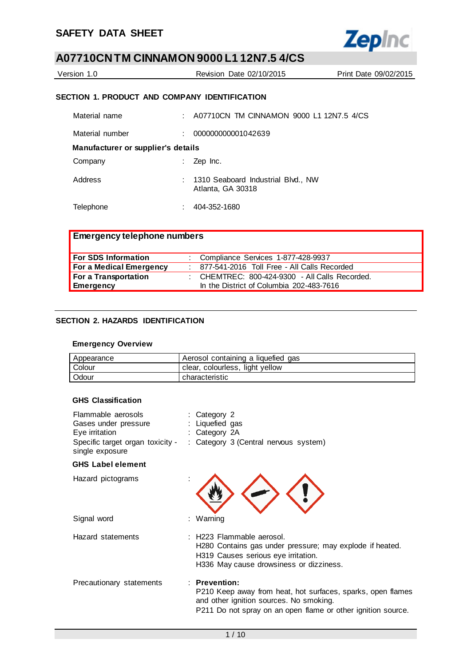

| Version 1.0 | Revision Date 02/10/2015                      | Print Date 09/02/2015 |
|-------------|-----------------------------------------------|-----------------------|
|             | SECTION 1. PRODUCT AND COMPANY IDENTIFICATION |                       |

| Material name                      | A07710CN TM CINNAMON 9000 L1 12N7.5 4/CS                |
|------------------------------------|---------------------------------------------------------|
| Material number                    | 000000000001042639                                      |
| Manufacturer or supplier's details |                                                         |
| Company                            | Zep Inc.                                                |
| Address                            | 1310 Seaboard Industrial Blvd., NW<br>Atlanta, GA 30318 |
| Telephone                          | 404-352-1680                                            |

| <b>Emergency telephone numbers</b> |                                                |
|------------------------------------|------------------------------------------------|
| For SDS Information                | : Compliance Services 1-877-428-9937           |
| For a Medical Emergency            | : 877-541-2016 Toll Free - All Calls Recorded  |
| For a Transportation               | : CHEMTREC: 800-424-9300 - All Calls Recorded. |
| Emergency                          | In the District of Columbia 202-483-7616       |

### **SECTION 2. HAZARDS IDENTIFICATION**

### **Emergency Overview**

| Appearance | Aerosol containing a liquefied gas |
|------------|------------------------------------|
| Colour     | clear, colourless, light yellow    |
| Odour      | characteristic                     |

### **GHS Classification**

| Flammable aerosols<br>Gases under pressure<br>Eye irritation<br>Specific target organ toxicity -<br>single exposure | : Category 2<br>: Liquefied gas<br>: Category 2A<br>: Category 3 (Central nervous system)                                                                               |  |
|---------------------------------------------------------------------------------------------------------------------|-------------------------------------------------------------------------------------------------------------------------------------------------------------------------|--|
| <b>GHS Label element</b>                                                                                            |                                                                                                                                                                         |  |
| Hazard pictograms                                                                                                   |                                                                                                                                                                         |  |
| Signal word                                                                                                         | : Warning                                                                                                                                                               |  |
| Hazard statements                                                                                                   | : H223 Flammable aerosol.<br>H280 Contains gas under pressure; may explode if heated.<br>H319 Causes serious eye irritation.<br>H336 May cause drowsiness or dizziness. |  |

| Precautionary statements | : Prevention:<br>P210 Keep away from heat, hot surfaces, sparks, open flames |
|--------------------------|------------------------------------------------------------------------------|
|                          | and other ignition sources. No smoking.                                      |
|                          | P211 Do not spray on an open flame or other ignition source.                 |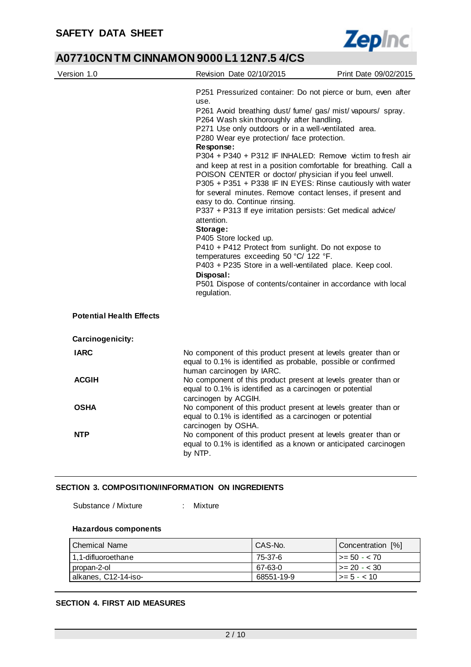Ĭ.



### **A07710CN TM CINNAMON 9000 L1 12N7.5 4/CS**

| Version 1.0                     | Revision Date 02/10/2015                                                                                                                                                                                                                                                                                                                                                                                                                                                                                                                                                                                                                                                                                                                                                                                                                                                                                                                                                                                                              | Print Date 09/02/2015 |  |
|---------------------------------|---------------------------------------------------------------------------------------------------------------------------------------------------------------------------------------------------------------------------------------------------------------------------------------------------------------------------------------------------------------------------------------------------------------------------------------------------------------------------------------------------------------------------------------------------------------------------------------------------------------------------------------------------------------------------------------------------------------------------------------------------------------------------------------------------------------------------------------------------------------------------------------------------------------------------------------------------------------------------------------------------------------------------------------|-----------------------|--|
|                                 | P251 Pressurized container: Do not pierce or burn, even after<br>use.<br>P261 Avoid breathing dust/ fume/ gas/ mist/ vapours/ spray.<br>P264 Wash skin thoroughly after handling.<br>P271 Use only outdoors or in a well-ventilated area.<br>P280 Wear eye protection/ face protection.<br>Response:<br>P304 + P340 + P312 IF INHALED: Remove victim to fresh air<br>and keep at rest in a position comfortable for breathing. Call a<br>POISON CENTER or doctor/ physician if you feel unwell.<br>P305 + P351 + P338 IF IN EYES: Rinse cautiously with water<br>for several minutes. Remove contact lenses, if present and<br>easy to do. Continue rinsing.<br>P337 + P313 If eye irritation persists: Get medical advice/<br>attention.<br>Storage:<br>P405 Store locked up.<br>P410 + P412 Protect from sunlight. Do not expose to<br>temperatures exceeding 50 °C/ 122 °F.<br>P403 + P235 Store in a well-ventilated place. Keep cool.<br>Disposal:<br>P501 Dispose of contents/container in accordance with local<br>regulation. |                       |  |
| <b>Potential Health Effects</b> |                                                                                                                                                                                                                                                                                                                                                                                                                                                                                                                                                                                                                                                                                                                                                                                                                                                                                                                                                                                                                                       |                       |  |
| Carcinogenicity:                |                                                                                                                                                                                                                                                                                                                                                                                                                                                                                                                                                                                                                                                                                                                                                                                                                                                                                                                                                                                                                                       |                       |  |
| <b>IARC</b>                     | No component of this product present at levels greater than or<br>equal to 0.1% is identified as probable, possible or confirmed<br>human carcinogen by IARC.                                                                                                                                                                                                                                                                                                                                                                                                                                                                                                                                                                                                                                                                                                                                                                                                                                                                         |                       |  |
| <b>ACGIH</b>                    | No component of this product present at levels greater than or<br>equal to 0.1% is identified as a carcinogen or potential<br>carcinogen by ACGIH.                                                                                                                                                                                                                                                                                                                                                                                                                                                                                                                                                                                                                                                                                                                                                                                                                                                                                    |                       |  |
| <b>OSHA</b>                     | No component of this product present at levels greater than or<br>equal to 0.1% is identified as a carcinogen or potential<br>carcinogen by OSHA.                                                                                                                                                                                                                                                                                                                                                                                                                                                                                                                                                                                                                                                                                                                                                                                                                                                                                     |                       |  |
| <b>NTP</b>                      | No component of this product present at levels greater than or<br>equal to 0.1% is identified as a known or anticipated carcinogen<br>by NTP.                                                                                                                                                                                                                                                                                                                                                                                                                                                                                                                                                                                                                                                                                                                                                                                                                                                                                         |                       |  |

### **SECTION 3. COMPOSITION/INFORMATION ON INGREDIENTS**

Substance / Mixture : Mixture

### **Hazardous components**

| l Chemical Name      | CAS-No.    | Concentration [%] |
|----------------------|------------|-------------------|
| 1,1-difluoroethane   | 75-37-6    | $1 > = 50 - < 70$ |
| propan-2-ol          | 67-63-0    | $1 > = 20 - < 30$ |
| alkanes, C12-14-iso- | 68551-19-9 | $\ge$ = 5 - < 10  |

### **SECTION 4. FIRST AID MEASURES**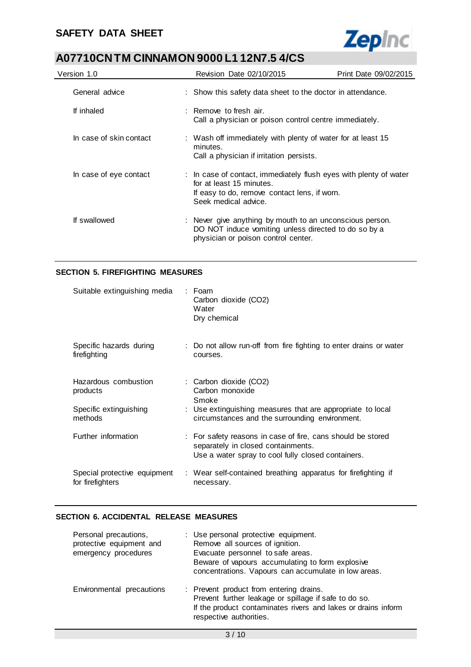

| Version 1.0             | Revision Date 02/10/2015                                                                                                                                              | Print Date 09/02/2015 |
|-------------------------|-----------------------------------------------------------------------------------------------------------------------------------------------------------------------|-----------------------|
| General advice          | : Show this safety data sheet to the doctor in attendance.                                                                                                            |                       |
| If inhaled              | $\therefore$ Remove to fresh air.<br>Call a physician or poison control centre immediately.                                                                           |                       |
| In case of skin contact | : Wash off immediately with plenty of water for at least 15<br>minutes.<br>Call a physician if irritation persists.                                                   |                       |
| In case of eye contact  | : In case of contact, immediately flush eyes with plenty of water<br>for at least 15 minutes.<br>If easy to do, remove contact lens, if worn.<br>Seek medical advice. |                       |
| If swallowed            | : Never give anything by mouth to an unconscious person.<br>DO NOT induce vomiting unless directed to do so by a<br>physician or poison control center.               |                       |

### **SECTION 5. FIREFIGHTING MEASURES**

| Suitable extinguishing media                                          | : Foam<br>Carbon dioxide (CO2)<br>Water<br>Dry chemical                                                                                                            |
|-----------------------------------------------------------------------|--------------------------------------------------------------------------------------------------------------------------------------------------------------------|
| Specific hazards during<br>firefighting                               | : Do not allow run-off from fire fighting to enter drains or water<br>courses.                                                                                     |
| Hazardous combustion<br>products<br>Specific extinguishing<br>methods | : Carbon dioxide (CO2)<br>Carbon monoxide<br>Smoke<br>: Use extinguishing measures that are appropriate to local<br>circumstances and the surrounding environment. |
| Further information                                                   | : For safety reasons in case of fire, cans should be stored<br>separately in closed containments.<br>Use a water spray to cool fully closed containers.            |
| Special protective equipment<br>for firefighters                      | : Wear self-contained breathing apparatus for firefighting if<br>necessary.                                                                                        |

### **SECTION 6. ACCIDENTAL RELEASE MEASURES**

| Personal precautions,<br>protective equipment and<br>emergency procedures | : Use personal protective equipment.<br>Remove all sources of ignition.<br>Evacuate personnel to safe areas.<br>Beware of vapours accumulating to form explosive<br>concentrations. Vapours can accumulate in low areas. |
|---------------------------------------------------------------------------|--------------------------------------------------------------------------------------------------------------------------------------------------------------------------------------------------------------------------|
| Environmental precautions                                                 | : Prevent product from entering drains.<br>Prevent further leakage or spillage if safe to do so.<br>If the product contaminates rivers and lakes or drains inform<br>respective authorities.                             |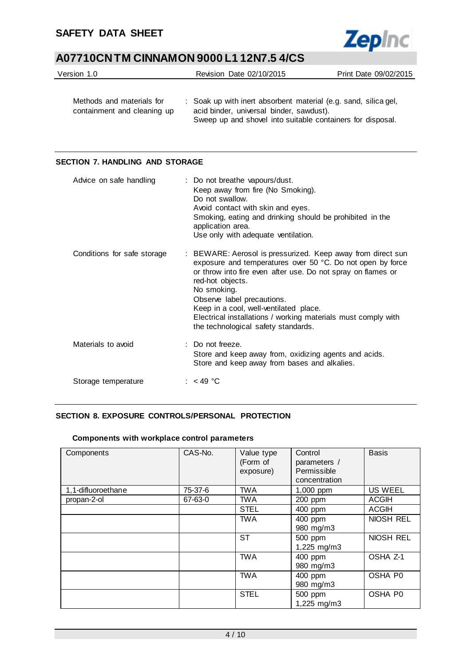

| Version 1.0                                              | Revision Date 02/10/2015                                                                                    | Print Date 09/02/2015 |
|----------------------------------------------------------|-------------------------------------------------------------------------------------------------------------|-----------------------|
| Methods and materials for<br>containment and cleaning up | : Soak up with inert absorbent material (e.g. sand, silica gel,<br>acid binder, universal binder, sawdust). |                       |

Sweep up and shovel into suitable containers for disposal.

### **SECTION 7. HANDLING AND STORAGE**

| Advice on safe handling     | : Do not breathe vapours/dust.<br>Keep away from fire (No Smoking).<br>Do not swallow.<br>Avoid contact with skin and eyes.<br>Smoking, eating and drinking should be prohibited in the<br>application area.<br>Use only with adequate ventilation.                                                                                                                                                          |
|-----------------------------|--------------------------------------------------------------------------------------------------------------------------------------------------------------------------------------------------------------------------------------------------------------------------------------------------------------------------------------------------------------------------------------------------------------|
| Conditions for safe storage | : BEWARE: Aerosol is pressurized. Keep away from direct sun<br>exposure and temperatures over 50 °C. Do not open by force<br>or throw into fire even after use. Do not spray on flames or<br>red-hot objects.<br>No smoking.<br>Observe label precautions.<br>Keep in a cool, well-ventilated place.<br>Electrical installations / working materials must comply with<br>the technological safety standards. |
| Materials to avoid          | $\therefore$ Do not freeze.<br>Store and keep away from, oxidizing agents and acids.<br>Store and keep away from bases and alkalies.                                                                                                                                                                                                                                                                         |
| Storage temperature         | : $<$ 49 °C                                                                                                                                                                                                                                                                                                                                                                                                  |

### **SECTION 8. EXPOSURE CONTROLS/PERSONAL PROTECTION**

### **Components with workplace control parameters**

| Components         | CAS-No. | Value type<br>(Form of<br>exposure) | Control<br>parameters /<br>Permissible<br>concentration | <b>Basis</b>   |
|--------------------|---------|-------------------------------------|---------------------------------------------------------|----------------|
| 1,1-difluoroethane | 75-37-6 | <b>TWA</b>                          | 1,000 ppm                                               | <b>US WEEL</b> |
| propan-2-ol        | 67-63-0 | <b>TWA</b>                          | 200 ppm                                                 | <b>ACGIH</b>   |
|                    |         | <b>STEL</b>                         | 400 ppm                                                 | <b>ACGIH</b>   |
|                    |         | <b>TWA</b>                          | 400 ppm<br>980 mg/m3                                    | NIOSH REL      |
|                    |         | <b>ST</b>                           | 500 ppm<br>1,225 mg/m3                                  | NIOSH REL      |
|                    |         | <b>TWA</b>                          | 400 ppm<br>980 mg/m3                                    | OSHA Z-1       |
|                    |         | <b>TWA</b>                          | 400 ppm<br>980 mg/m3                                    | OSHA P0        |
|                    |         | <b>STEL</b>                         | 500 ppm<br>1,225 mg/m3                                  | OSHA P0        |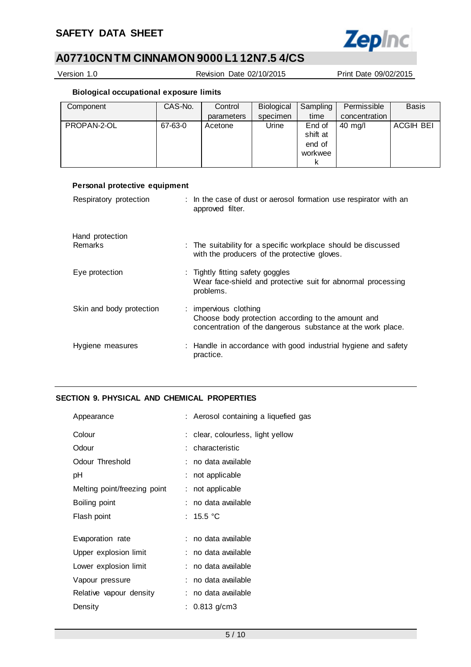

Version 1.0 Revision Date 02/10/2015 Print Date 09/02/2015

**Biological occupational exposure limits**

| Component   | CAS-No. | Control    | Biological | Sampling | Permissible   | <b>Basis</b>     |
|-------------|---------|------------|------------|----------|---------------|------------------|
|             |         | parameters | specimen   | time     | concentration |                  |
| PROPAN-2-OL | 67-63-0 | Acetone    | Urine      | End of   | 40 mg/l       | <b>ACGIH BEI</b> |
|             |         |            |            | shift at |               |                  |
|             |         |            |            | end of   |               |                  |
|             |         |            |            | workwee  |               |                  |
|             |         |            |            | κ        |               |                  |

| Personal protective equipment |                                                                                                                                            |
|-------------------------------|--------------------------------------------------------------------------------------------------------------------------------------------|
| Respiratory protection        | : In the case of dust or aerosol formation use respirator with an<br>approved filter.                                                      |
| Hand protection               |                                                                                                                                            |
| <b>Remarks</b>                | : The suitability for a specific workplace should be discussed<br>with the producers of the protective gloves.                             |
| Eye protection                | : Tightly fitting safety goggles<br>Wear face-shield and protective suit for abnormal processing<br>problems.                              |
| Skin and body protection      | : impervious clothing<br>Choose body protection according to the amount and<br>concentration of the dangerous substance at the work place. |
| Hygiene measures              | : Handle in accordance with good industrial hygiene and safety<br>practice.                                                                |

### **SECTION 9. PHYSICAL AND CHEMICAL PROPERTIES**

|   | : Aerosol containing a liquefied gas |
|---|--------------------------------------|
|   | clear, colourless, light yellow      |
|   | characteristic                       |
|   | no data available                    |
|   | not applicable                       |
| ÷ | not applicable                       |
|   | no data available                    |
|   | : 15.5 °C                            |
|   |                                      |
|   | : no data available                  |
|   | : no data available                  |
|   | : no data available                  |
|   | no data available                    |
|   | no data available                    |
|   | : 0.813 g/cm3                        |
|   |                                      |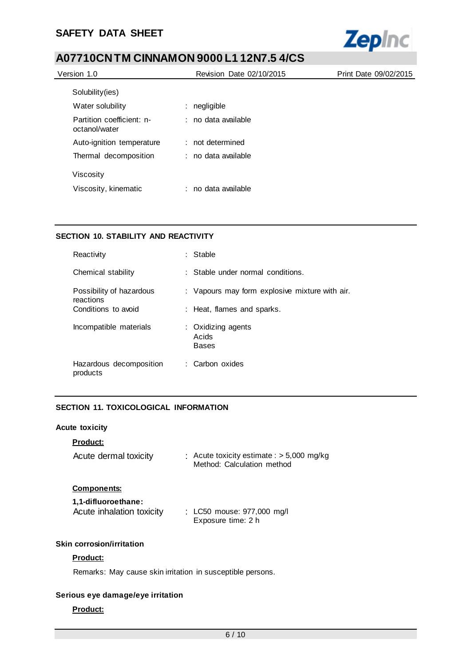

| Version 1.0                                | Revision Date 02/10/2015 | Print Date 09/02/2015 |
|--------------------------------------------|--------------------------|-----------------------|
| Solubility (ies)                           |                          |                       |
| Water solubility                           | negligible<br>÷          |                       |
| Partition coefficient: n-<br>octanol/water | : no data available      |                       |
| Auto-ignition temperature                  | : not determined         |                       |
| Thermal decomposition                      | : no data available      |                       |
| Viscosity                                  |                          |                       |
| Viscosity, kinematic                       | no data available<br>÷.  |                       |

### **SECTION 10. STABILITY AND REACTIVITY**

| Reactivity                            | : Stable                                       |
|---------------------------------------|------------------------------------------------|
| Chemical stability                    | : Stable under normal conditions.              |
| Possibility of hazardous<br>reactions | : Vapours may form explosive mixture with air. |
| Conditions to avoid                   | : Heat, flames and sparks.                     |
| Incompatible materials                | : Oxidizing agents<br>Acids<br><b>Bases</b>    |
| Hazardous decomposition<br>products   | : Carbon oxides                                |

### **SECTION 11. TOXICOLOGICAL INFORMATION**

### **Acute toxicity**

| <b>Product:</b><br>Acute dermal toxicity                               | : Acute toxicity estimate : $>$ 5,000 mg/kg<br>Method: Calculation method |
|------------------------------------------------------------------------|---------------------------------------------------------------------------|
| <b>Components:</b><br>1.1-difluoroethane:<br>Acute inhalation toxicity | : LC50 mouse: 977,000 mg/l<br>Exposure time: 2 h                          |
| Skin corrosion/irritation                                              |                                                                           |

### **Product:**

Remarks: May cause skin irritation in susceptible persons.

### **Serious eye damage/eye irritation**

### **Product:**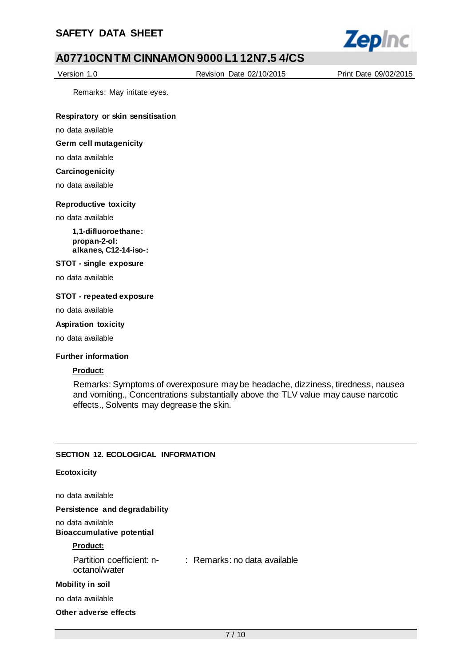

Version 1.0 Revision Date 02/10/2015 Print Date 09/02/2015

Remarks: May irritate eyes.

**Respiratory or skin sensitisation**

no data available

**Germ cell mutagenicity**

no data available

**Carcinogenicity**

no data available

### **Reproductive toxicity**

no data available

**1,1-difluoroethane: propan-2-ol: alkanes, C12-14-iso-:**

**STOT - single exposure**

no data available

### **STOT - repeated exposure**

no data available

#### **Aspiration toxicity**

no data available

### **Further information**

### **Product:**

Remarks: Symptoms of overexposure may be headache, dizziness, tiredness, nausea and vomiting., Concentrations substantially above the TLV value may cause narcotic effects., Solvents may degrease the skin.

### **SECTION 12. ECOLOGICAL INFORMATION**

### **Ecotoxicity**

no data available

**Persistence and degradability**

no data available

### **Bioaccumulative potential**

### **Product:**

| Partition coefficient: n- | : Remarks: no data available |
|---------------------------|------------------------------|
| octanol/water             |                              |

#### **Mobility in soil**

no data available

**Other adverse effects**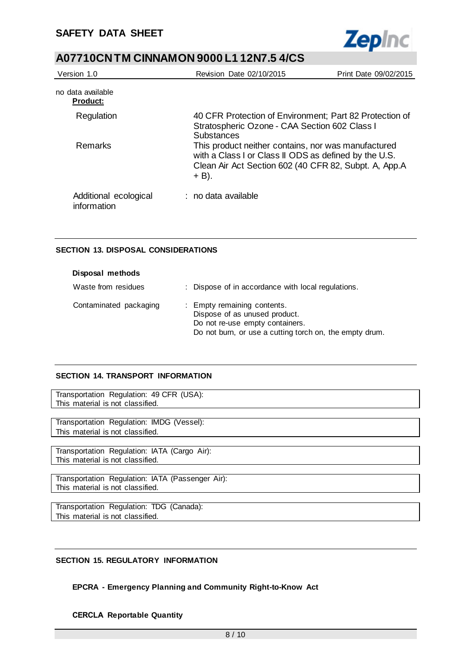

| Version 1.0                          | Revision Date 02/10/2015                                                                                                                                                         | Print Date 09/02/2015 |
|--------------------------------------|----------------------------------------------------------------------------------------------------------------------------------------------------------------------------------|-----------------------|
| no data available<br><b>Product:</b> |                                                                                                                                                                                  |                       |
| Regulation                           | 40 CFR Protection of Environment; Part 82 Protection of<br>Stratospheric Ozone - CAA Section 602 Class I<br><b>Substances</b>                                                    |                       |
| Remarks                              | This product neither contains, nor was manufactured<br>with a Class I or Class II ODS as defined by the U.S.<br>Clean Air Act Section 602 (40 CFR 82, Subpt. A, App.A<br>$+$ B). |                       |
| Additional ecological<br>information | : no data available                                                                                                                                                              |                       |

### **SECTION 13. DISPOSAL CONSIDERATIONS**

| Disposal methods       |                                                                                                                                                            |
|------------------------|------------------------------------------------------------------------------------------------------------------------------------------------------------|
| Waste from residues    | : Dispose of in accordance with local regulations.                                                                                                         |
| Contaminated packaging | : Empty remaining contents.<br>Dispose of as unused product.<br>Do not re-use empty containers.<br>Do not burn, or use a cutting torch on, the empty drum. |

### **SECTION 14. TRANSPORT INFORMATION**

Transportation Regulation: 49 CFR (USA): This material is not classified.

Transportation Regulation: IMDG (Vessel): This material is not classified.

Transportation Regulation: IATA (Cargo Air): This material is not classified.

Transportation Regulation: IATA (Passenger Air): This material is not classified.

Transportation Regulation: TDG (Canada): This material is not classified.

### **SECTION 15. REGULATORY INFORMATION**

### **EPCRA - Emergency Planning and Community Right-to-Know Act**

### **CERCLA Reportable Quantity**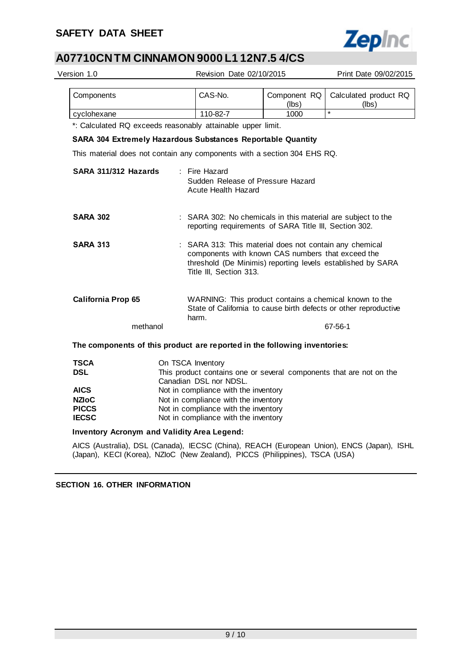

| Version 1.0                                                                 |                                                                                                                                                              | Revision Date 02/10/2015                                                                                                                                                                               | Print Date 09/02/2015                                                                                                      |  |  |
|-----------------------------------------------------------------------------|--------------------------------------------------------------------------------------------------------------------------------------------------------------|--------------------------------------------------------------------------------------------------------------------------------------------------------------------------------------------------------|----------------------------------------------------------------------------------------------------------------------------|--|--|
| Components                                                                  | CAS-No.                                                                                                                                                      | Component RQ<br>(lbs)                                                                                                                                                                                  | Calculated product RQ<br>(lbs)                                                                                             |  |  |
| cyclohexane                                                                 | 110-82-7                                                                                                                                                     | 1000                                                                                                                                                                                                   | $\star$                                                                                                                    |  |  |
| *: Calculated RQ exceeds reasonably attainable upper limit.                 |                                                                                                                                                              |                                                                                                                                                                                                        |                                                                                                                            |  |  |
| <b>SARA 304 Extremely Hazardous Substances Reportable Quantity</b>          |                                                                                                                                                              |                                                                                                                                                                                                        |                                                                                                                            |  |  |
| This material does not contain any components with a section 304 EHS RQ.    |                                                                                                                                                              |                                                                                                                                                                                                        |                                                                                                                            |  |  |
| SARA 311/312 Hazards                                                        | : Fire Hazard<br>Acute Health Hazard                                                                                                                         | Sudden Release of Pressure Hazard                                                                                                                                                                      |                                                                                                                            |  |  |
| <b>SARA 302</b>                                                             |                                                                                                                                                              | reporting requirements of SARA Title III, Section 302.                                                                                                                                                 | : SARA 302: No chemicals in this material are subject to the                                                               |  |  |
| <b>SARA 313</b>                                                             |                                                                                                                                                              | : SARA 313: This material does not contain any chemical<br>components with known CAS numbers that exceed the<br>threshold (De Minimis) reporting levels established by SARA<br>Title III, Section 313. |                                                                                                                            |  |  |
| California Prop 65                                                          | harm.                                                                                                                                                        |                                                                                                                                                                                                        | WARNING: This product contains a chemical known to the<br>State of California to cause birth defects or other reproductive |  |  |
| methanol                                                                    |                                                                                                                                                              |                                                                                                                                                                                                        | 67-56-1                                                                                                                    |  |  |
| The components of this product are reported in the following inventories:   |                                                                                                                                                              |                                                                                                                                                                                                        |                                                                                                                            |  |  |
| <b>TSCA</b><br><b>DSL</b>                                                   | On TSCA Inventory<br>This product contains one or several components that are not on the<br>Canadian DSL nor NDSL.                                           |                                                                                                                                                                                                        |                                                                                                                            |  |  |
| <b>AICS</b><br><b>NZIOC</b><br><b>PICCS</b><br><b>IECSC</b>                 | Not in compliance with the inventory<br>Not in compliance with the inventory<br>Not in compliance with the inventory<br>Not in compliance with the inventory |                                                                                                                                                                                                        |                                                                                                                            |  |  |
| <b>Inventory Acronym and Validity Area Legend:</b>                          |                                                                                                                                                              |                                                                                                                                                                                                        |                                                                                                                            |  |  |
| (Japan), KECI (Korea), NZIoC (New Zealand), PICCS (Philippines), TSCA (USA) |                                                                                                                                                              |                                                                                                                                                                                                        | AICS (Australia), DSL (Canada), IECSC (China), REACH (European Union), ENCS (Japan), ISHL                                  |  |  |

**SECTION 16. OTHER INFORMATION**